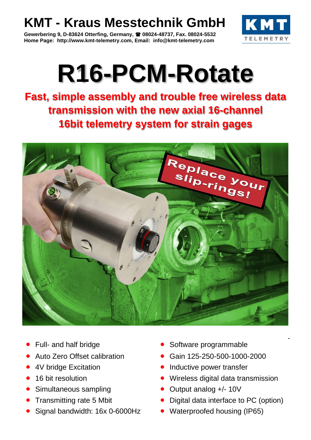## **KMT - Kraus Messtechnik GmbH**

**Gewerbering 9, D-83624 Otterfing, Germany, 08024-48737, Fax. 08024-5532 Home Page: http://www.kmt-telemetry.com, Email: info@kmt-telemetry.com**



## **R16-PCM-Rotate**

**Fast, simple assembly and trouble free wireless data transmission with the new axial 16-channel 16bit telemetry system for strain gages**



- 
- 
- 
- 
- 
- 
- Signal bandwidth: 16x 0-6000Hz Waterproofed housing (IP65)
- Full- and half bridge **•** Software programmable
- Auto Zero Offset calibration Gain 125-250-500-1000-2000
- 4V bridge Excitation Contract Contract Contract Contract Contract Contract Contract Contract Contract Contract Contract Contract Contract Contract Contract Contract Contract Contract Contract Contract Contract Contract C
- 16 bit resolution **•** Wireless digital data transmission
- Simultaneous sampling Cutput analog +/- 10V
- Transmitting rate 5 Mbit Digital data interface to PC (option)
	-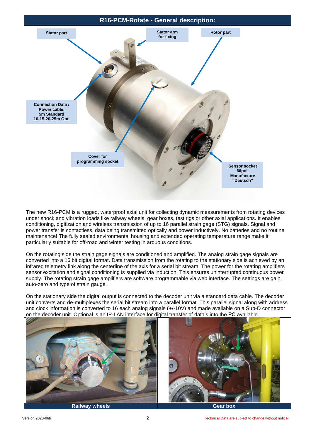

The new R16-PCM is a rugged, waterproof axial unit for collecting dynamic measurements from rotating devices under shock and vibration loads like railway wheels, gear boxes, test rigs or other axial applications. It enables conditioning, digitization and wireless transmission of up to 16 parallel strain gage (STG) signals. Signal and power transfer is contactless, data being transmitted optically and power inductively. No batteries and no routine maintenance! The fully sealed environmental housing and extended operating temperature range make it particularly suitable for off-road and winter testing in arduous conditions.

On the rotating side the strain gage signals are conditioned and amplified. The analog strain gage signals are converted into a 16 bit digital format. Data transmission from the rotating to the stationary side is achieved by an infrared telemetry link along the centerline of the axis for a serial bit stream. The power for the rotating amplifiers sensor excitation and signal conditioning is supplied via induction. This ensures uninterrupted continuous power supply. The rotating strain gage amplifiers are software programmable via web interface. The settings are gain, auto-zero and type of strain gauge.

On the stationary side the digital output is connected to the decoder unit via a standard data cable. The decoder unit converts and de-multiplexes the serial bit stream into a parallel format. This parallel signal along with address and clock information is converted to 16 each analog signals (+/-10V) and made available on a Sub-D connector on the decoder unit. Optional is an IP-LAN interface for digital transfer of data's into the PC available.

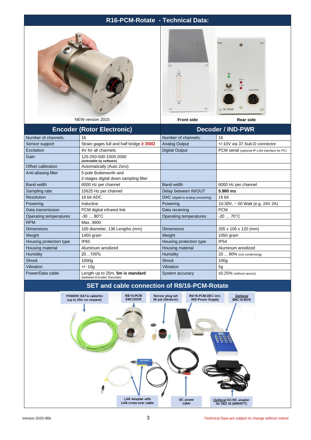## **R16-PCM-Rotate - Technical Data:**





| ∪ו טבוסוסוס אים באו               |                                                                 | FIUIIL SIUC                        | Real Sige                                     |
|-----------------------------------|-----------------------------------------------------------------|------------------------------------|-----------------------------------------------|
| <b>Encoder (Rotor Electronic)</b> |                                                                 | <b>Decoder / IND-PWR</b>           |                                               |
| Number of channels:               | 16                                                              | Number of channels:                | 16                                            |
| Sensor support                    | Strain gages full and half bridge ≥ 350Ω                        | <b>Analog Output</b>               | +/-10V via 37-Sub-D connector                 |
| Excitation                        | 4V for all channels                                             | <b>Digital Output</b>              | PCM serial (optional IP-LAN interface for PC) |
| Gain                              | 125-250-500-1000-2000<br>(selectable by software)               |                                    |                                               |
| Offset calibration                | Automatically (Auto Zero)                                       |                                    |                                               |
| Anti-aliasing filter              | 5-pole Butterworth and<br>2-stages digital down sampling filter |                                    |                                               |
| <b>Band width</b>                 | 6000 Hz per channel                                             | <b>Band width</b>                  | 6000 Hz per channel                           |
| Sampling rate                     | 15625 Hz per channel                                            | Delay between IN/OUT               | 5.980 ms                                      |
| <b>Resolution</b>                 | 16 bit ADC                                                      | DAC (digital to analog converting) | 16 bit                                        |
| Powering                          | Inductive                                                       | Powering                           | 10-30V, $\sim$ 50 Watt (e.g. 24V 2A)          |
| Data transmission                 | PCM digital infrared link                                       | Data receiving                     | <b>PCM</b>                                    |
| Operating temperatures            | $-3080^{\circ}C$                                                | Operating temperatures             | $-2070^{\circ}C$                              |
| <b>RPM</b>                        | Max. 3600                                                       |                                    |                                               |
| <b>Dimensions</b>                 | 100 diameter, 136 Lengths (mm)                                  | <b>Dimensions</b>                  | 205 x 105 x 120 (mm)                          |
| Weight                            | 1450 gram                                                       | Weight                             | 1050 gram                                     |
| Housing protection type           | <b>IP65</b>                                                     | Housing protection type            | <b>IP54</b>                                   |
| Housing material                  | Aluminum anodized                                               | Housing material                   | Aluminum anodized                             |
| Humidity                          | 20100%                                                          | Humidity                           | 20  80% (not condensing)                      |
| <b>Shock</b>                      | 1000g                                                           | <b>Shock</b>                       | 100 <sub>g</sub>                              |
| Vibration                         | $+/- 10g$                                                       | Vibration                          | 5g                                            |
| Power/Data cable                  | Length up to 25m, 5m is standard<br>(between Encoder /Decoder)  | System accuracy                    | $\pm 0.25\%$ (without sensor)                 |

## **SET and cable connection of R8/16-PCM-Rotate**